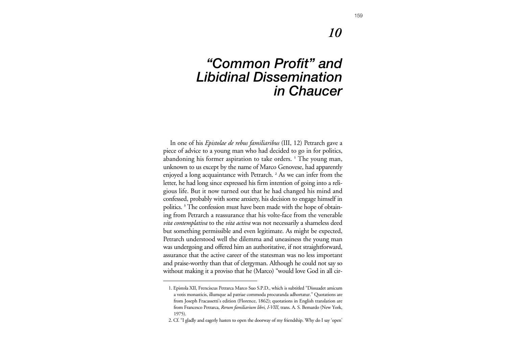## *10*

## *"Common Profit" and Libidinal Dissemination in Chaucer*

In one of his *Epistolae de rebus familiaribus* (III, 12) Petrarch gave a <sup>p</sup>iece of advice to a young man who had decided to go in for politics, abandoning his former aspiration to take orders. **<sup>1</sup>** The young man, unknown to us except by the name of Marco Genovese, had apparently enjoyed a long acquaintance with Petrarch. **<sup>2</sup>** As we can infer from the letter, he had long since expressed his firm intention of going into a reli<sup>g</sup>ious life. But it now turned out that he had changed his mind and confessed, probably with some anxiety, his decision to engage himself in politics. **<sup>3</sup>** The confession must have been made with the hope of obtaining from Petrarch a reassurance that his volte-face from the venerable *vita contemplativa* to the *vita activa* was not necessarily a shameless deed but something permissible and even legitimate. As might be expected, Petrarch understood well the dilemma and uneasiness the young man was undergoing and offered him an authoritative, if not straightforward, assurance that the active career of the statesman was no less important and praise-worthy than that of clergyman. Although he could not say so without making it a proviso that he (Marco) "would love God in all cir-

<sup>1.</sup> Epistola XII, Frenciscus Petrarca Marco Suo S.P.D., which is subtitled "Dissuadet amicum a votis monasticis, illumque ad patriae commoda procuranda adhortatur." Quotations are from Joseph Fracassetti's edition (Florence, 1862); quotations in English translation are from Francesco Petrarca, *Rerum familiarium libri, I-VIII*, trans. A. S. Bemardo (New York, 1975).

<sup>2.</sup> Cf. "I gladly and eagerly hasten to open the doorway of my friendship. Why do I say 'open'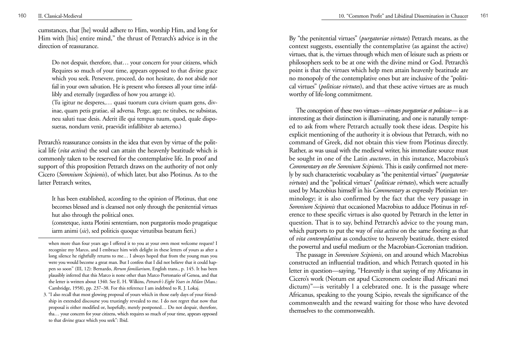cumstances, that [he] would adhere to Him, worship Him, and long for Him with [his] entire mind," the thrust of Petrarch's advice is in the direction of reassurance.

Do not despair, therefore, that… your concern for your citizens, which Requires so much of your time, appears opposed to that divine grace which you seek. Persevere, proceed, do not hesitate, do not abide nor fail in your own salvation. He is present who foresees all your time infallibly and eternally (regardless of how you arrange it).

(Tu igitur ne desperes,… quasi tuorum cura civium quam gens, divinae, quam petis gratiae, sil adversa. Perge, age; ne titubes, ne subsistas, neu saluti tuae desis. Aderit ille qui tempus tuum, quod, quale disposueras, nondum venit, praevidit infallibiter ab aeterno.)

Petrarch's reassurance consists in the idea that even by virtue of the political life (*vita activa*) the soul can attain the heavenly beatitude which is commonly taken to be reserved for the contemplative life. In proof and support of this proposition Petrarch draws on the authority of not only Cicero (*Somnium Scipionis*), of which later, but also Plotinus. As to the latter Petrarch writes,

It has been established, according to the opinion of Plotinus, that one becomes blessed and is cleansed not only through the penitential virtues hut also through the political ones.

(constetque, iuxta Plotini sententiam, non purgatoriis modo prugatique iarm animi (*sic*), sed politicis quoque virtutibus beatum fieri.)

By "the penitential virtues" (*purgatoriae virtutes*) Petrarch means, as the context suggests, essentially the contemplative (as against the active) virtues, that is, the virtues through which men of leisure such as priests or philosophers seek to be at one with the divine mind or God. Petrarch's point is that the virtues which help men attain heavenly beatitude are no monopoly of the contemplative ones but are inclusive of the "political virtues" (*politicae virtutes*), and that these active virtues are as much worthy of life-long commitment.

The conception of these two virtues—*virtutes purgatoriae et politicae*— is as interesting as their distinction is illuminating, and one is naturally tempted to ask from where Petrarch actually took these ideas. Despite his explicit mentioning of the authority it is obvious that Petrarch, with no command of Greek, did not obtain this view from Plotinus directly. Rather, as was usual with the medieval writer, his immediate source must be sought in one of the Latin *auctores*, in this instance, Macrobius's *Commentary on the Somnium Scipionis*. This is easily confirmed not merely by such characteristic vocabulary as "the penitential virtues" (*purgatoriae virtutes*) and the "political virtues" (*politicae virtutes*), which were actually used by Macrobius himself in his *Commentary* as expressly Plotinian terminology; it is also confirmed by the fact that the very passage in *Somnium Scipionis* that occasioned Macrobius to adduce Plotinus in reference to these specific virtues is also quoted by Petrarch in the letter in question. That is to say, behind Petrarch's advice to the young man, which purports to put the way of *vita activa* on the same footing as that of *vita contemplativa* as conductive to heavenly beatitude, there existed the powertul and useful medium or the Macrobian-Ciceronian tradition.

The passage in *Somnium Scipionis*, on and around which Macrobius constructed an influential tradition, and which Petrarch quoted in his letter in question—saying, "Heavenly is that saying of my Africanus in Cicero's work (Notum est apud Ciceronem coeleste illud Africani mei dictum)"—is veritably l a celebrated one. It is the passage where Africanus, speaking to the young Scipio, reveals the significance of the commonwealth and the reward waiting for those who have devoted themselves to the commonwealth.

when more than four years ago I offered it to you at your own most welcome request? I recognize my Marco, and I embrace him with delight in these letters of yours as after a long silence he rightfully returns to me… I always hoped that from the young man you were you would become a great man. But I confess that I did not believe that it could happen so soon" (III, 12): Bernardo, *Rerum familiarium*, English trans., p. 145. It bas been plausibly inferred that this Marco is none other than Marco Portonario of Genoa, and that the letter is written about 1340. See E. H. Wilkins, *Petrarch's Eight Years in Milan* (Mass.: Cambridge, 1958), pp. 237–38. For this reference I am indebted to R. J. Lokaj.

<sup>3. &</sup>quot;I also recall that most glowing proposal of yours which in those early days of your friendship in extended discourse you trustingly revealed to me. I do not regret that now that proposal is either modified or, hopefully, merely postponed… Do not despair, therefore, tha… your concern for your citizens, which requires so much of your time, appears opposed to that divine grace which you seek": Ibid.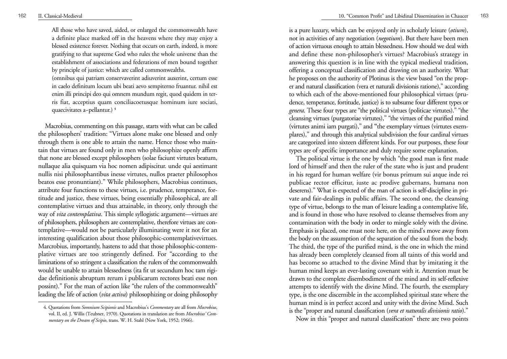All those who have saved, aided, or enlarged the commonwealth have a definite place marked off in the heavens where they may enjoy a blessed existence forever. Nothing that occurs on earth, indeed, is more gratifying to that supreme God who rules the whole universe than the establishment of associations and federations of men bound together by principle of justice: which are called commonwealths.

(omnibus qui patriam conservaverint adiuverint auxerint, certum esse in caelo definitum locum ubi beati aevo sempiterno fruantur. nihil est enim illi principi deo qui omnem mundum regit, quod quidem in terris fiat, acceptius quam conciliacoetusque hominum iure sociati, quaecivitates a~pellantur.) **<sup>4</sup>**

Macrobius, commenting on this passage, starts with what can be called the philosophers' tradition: "Virtues alone make one blessed and only through them is one able to attain the name. Hence those who maintain that virtues are found only in men who philosophize openly affirm that none are blessed except philosophers (solae faciunt virtutes beatum, nullaque alia quisquam via hoc nomen adipiscitur. unde qui aestimant nullis nisi philosophantibus inesse virtutes, nullos praeter philosophos beatos esse pronuntiant)." While philosophers, Macrobius continues, attribute four functions to these virtues, i.e. prudence, temperance, fortitude and justice, these virtues, being essentially philosophical, are all contemplative virtues and thus attainable, in theory, only through the way of *vita contemplativa*. This simple syllogistic argument—virtues are of philosophers, philosophers are contemplative, therefore virtues are contemplative—would not be particularly illuminating were it not for an interesting qualification about those philosophic-contemplativevirtues. Marcrobius, importantly, hastens to add that those philosophic-contem<sup>p</sup>lative virtues are too stringently defined. For "according to the liminations of so stringent a classification the rulers of the commonwealth would be unable to attain blessedness (ita fit ut secundum hoc tam rigidae definitionis abruptum rerum i publicarum rectores beati esse non possint)." For the man of action like "the rulers of the commonwealth" leading the life of action (*vita activa*) philosophizing or doing philosophy is a pure luxury, which can be enjoyed only in scholarly leisure (*otium*), not in activities of any negotiation (*negotium*). But there have been men of action virtuous enough to attain blessedness. How should we deal with and define these non-philosopher's virtues? Macrobius's strategy in answering this question is in line with the typical medieval tradition, offering a conceptual classification and drawing on an authority. What he proposes on the authority of Plotinus is the view based "on the proper and natural classification (vera et naturali divisionis ratione)," according to which each of the above-mentioned four philosophical virtues (prudence, temperance, fortitude, justice) is to subsume four different types or *genera*. These four types are "the political virtues (politicae virtutes)." "the cleansing virtues (purgatoriae virtutes)," "the virtues of the purified mind (virtutes animi iam purgati)," and **"**the exemplary virtues (virtutes exem<sup>p</sup>lares)," and through this analytical subdivision the four cardinal virtues are categorized into sixteen different kinds. For our purposes, these four types are of specific importance and duly require some explanation.

The political virtue is the one by which "the good man is first made lord of himself and then the ruler of the state who is just and prudent in his regard for human welfare (vir bonus primum sui atque inde rei publicae rector efficitur, iuste ac prodive gubernans, humana non deserens)." What is expected of the man of action is self-discipline in private and fair-dealings in public affairs. The second one, the cleansing type of virtue, belongs to the man of leisure leading a contemplative life, and is found in those who have resolved to cleanse themselves from any contamination with the body in order to mingle solely with the divine. Emphasis is placed, one must note here, on the mind's move away from the body on the assumption of the separation of the soul from the body. The third, the type of the purified mind, is the one in which the mind has already been completely cleansed from all taints of this world and has become so attached to the divine Mind that by imitating it the human mind keeps an ever-lasting covenant with it. Attention must be drawn to the complete disembodiment of the mind and its self-reflexive attempts to identify with the divine Mind. The fourth, the exemplary type, is the one discernible in the accomplished spiritual state where the human mind is in perfect accord and unity with the divine Mind. Such is the "proper and natural classification (*vera et naturalis divisionis ratio*)."

Now in this "proper and natural classification" there are two points

<sup>4.</sup> Quotations from *Somnium Scipionis* and Macrobius's *Commentary* are all from *Mocrobius*, vol. II, ed. J. Willis (Teubner, 1970). Quotations in translation are from *Mocrobius' Commentary on the Dream of Scipio*, trans. W. H. Stahl (New York, 1952; 1966).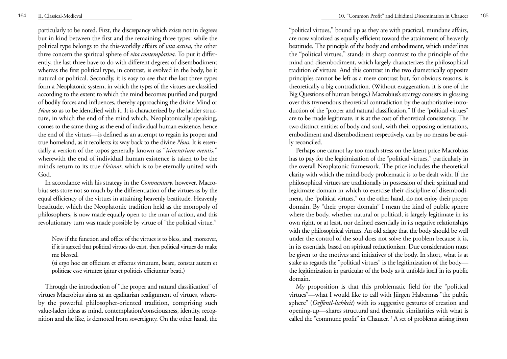particularly to be noted. First, the discrepancy which exists not in degrees but in kind between the first and the remaining three types: while the political type belongs to the this-worldly affairs of *vita activa*, the other three concern the spiritual sphere of *vita contemplativa*. To put it differently, the last three have to do with different degrees of disembodiment whereas the first political type, in contrast, is evolved in the body, be it natural or political. Secondly, it is easy to see that the last three types form a Neoplatonic system, in which the types of the virtues are classified according to the extent to which the mind becomes purified and purged of bodily forces and influences, thereby approaching the divine Mind or *Nous* so as to be identified with it. It is characterized by the ladder structure, in which the end of the mind which, Neoplatonically speaking, comes to the same thing as the end of individual human existence, hence the end of the virtues—is defined as an attempt to regain its proper and true homeland, as it recollects its way back to the divine *Nous*. It is essentially a version of the topos generally known as "*itinerarium mentis*," wherewith the end of individual human existence is taken to be the mind's return to its true *Heimat*, which is to be eternally united with God.

In accordance with his strategy in the *Commentary*, however, Macrobius sets store not so much by the differentiation of the virtues as by the equal efficiency of the virtues in attaining heavenly beatitude. Heavenly beatitude, which the Neoplatonic tradition held as the monopoly of philosophers, is now made equally open to the man of action, and this revolutionary turn was made possible by virtue of "the political virtue."

Now if the function and office of the virtues is to bless, and, moreover, if it is agreed that political virtues do exist, then political virtues do make me blessed.

(si ergo hoc est officium et effectus virtutum, beare, constat autem et politicae esse virtutes: igitur et politicis efficiuntur beati.)

Through the introduction of "the proper and natural classification" of virtues Macrobius aims at an egalitarian realignment of virtues, whereby the powerful philosopher-oriented tradition, comprising such value-laden ideas as mind, contemplation/consciousness, identity, recognition and the like, is demoted from sovereignty. On the other hand, the

"political virtues," bound up as they are with practical, mundane affairs, are now valorized as equally efficient toward the attainment of heavenly beatitude. The principle of the body and embodiment, which underlines the "political virtues," stands in sharp contrast to the principle of the mind and disembodiment, which largely characterizes the philosophical tradition of virtues. And this contrast in the two diametrically opposite principles cannot be left as a mere contrast but, for obvious reasons, is theoretically a big contradiction. (Without exaggeration, it is one of the Big Questions of human beings.) Macrobius's strategy consists in glossing over this tremendous theoretical contradiction by the authoritative introduction of the "proper and natural classification." If the "political virtues" are to be made legitimate, it is at the cost of theoretical consistency. The two distinct entities of body and soul, with their opposing orientations, embodiment and disembodiment respectively, can by no means be easily reconciled.

Perhaps one cannot lay too much stress on the latent price Macrobius has to pay for the legitimization of the "political virtues," particularly in the overall Neoplatonic framework. The price includes the theoretical clarity with which the mind-body problematic is to be dealt with. If the philosophical virtues are traditionally in possession of their spiritual and legitimate domain in which to exercise their discipline of disembodiment, the "political virtues," on the other hand, do not enjoy their proper domain. By "their proper domain" I mean the kind of public sphere where the body, whether natural or political, is largely legitimate in its own right, or at least, nor defined essentially in its negative relationships with the philosophical virtues. An old adage that the body should be well under the control of the soul does not solve the problem because it is, in its essentials, based on spiritual reductionism. Due consideration must be given to the motives and initiatives of the body. In short, what is at stake as regards the "political virtues" is the legitimization of the body the legitimization in particular of the body as it unfolds itself in its public domain.

My proposition is that this problematic field for the "political virtues"—what I would like to call with Jiirgen Habermas "the public sphere" ( *Oeffentl-lichkeit*) with its suggestive gestures of creation and opening-up—shares structural and thematic similarities with what is called the "commune profit" in Chaucer. **<sup>5</sup>** A set of problems arising from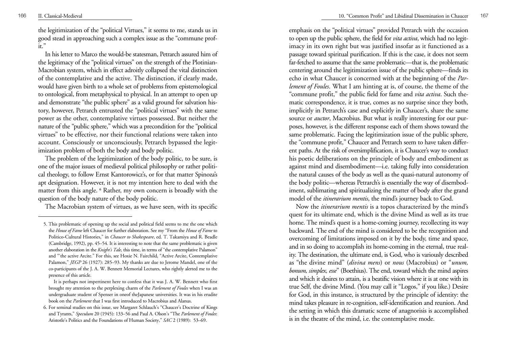the legitimization of the "political Virtues," it seems to me, stands us in good stead in approaching such a complex issue as the "commune prof $it$ "

In his letter to Marco the would-be statesman, Petrarch assured him of the legitimacy of the "political virtues" on the strength of the Plotinian-Macrobian system, which in effect adroitly collapsed the vital distinction of the contemplative and the active. The distinction, if clearly made, would have given birth to a whole set of problems from epistemological to ontological, from metaphysical to physical. In an attempt to open up and demonstrate "the public sphere" as a valid ground for salvation history, however, Petrarch entrusted the "political virtues" with the same power as the other, contemplative virtues possessed. But neither the nature of the "public sphere," which was a precondition for the "political virtues" to be effective, nor their functional relations were taken into account. Consciously or unconsciously, Petrarch bypassed the legitimization problem of both the body and body politic.

The problem of the legitimization of the body politic, to be sure, is one of the major issues of medieval political philosophy or rather political theology, to follow Ernst Kantorowicz's, or for that matter Spinoza's apt designation. However, it is not my intention here to deal with the matter from this angle. **<sup>6</sup>** Rather, my own concern is broadly with the question of the body nature of the body politic.

The Macrobian system of virtues, as we have seen, with its specific

emphasis on the "political virtues" provided Petrarch with the occasion to open up the public sphere, the field for *vita activa*, which had no legitimacy in its own right but was justified insofar as it functioned as a passage toward spiritual purification. If this is the case, it does not seem far-fetched to assume that the same problematic—that is, the problematic centering around the legitimization issue of the public sphere—finds its echo in what Chaucer is concerned with at the beginning of the *Parlement of Foules*. What I am hinting at is, of course, the theme of the "commune profit," the public field for fame and *vita activa*. Such thematic correspondence, it is true, comes as no surprise since they both, implicitly in Petrarch's case and explicitly in Chaucer's, share the same source or *auctor*, Macrobius. But what is really interesting for our purposes, however, is the different response each of them shows toward the same problematic. Facing the legitimization issue of the public sphere, the "commune profit," Chaucer and Petrarch seem to have taken different paths. At the risk of oversimplification, it is Chaucer's way to conduct his poetic deliberations on the principle of body and embodiment as against mind and disembodiment—i.e. taking fully into consideration the natural causes of the body as well as the quasi-natural autonomy of the body politic—whereas Petrarch's is essentially the way of disembodiment, sublimating and spiritualizing the matter of body after the grand model of the *itinerarium mentis*, the mind's journey back to God.

Now the *itinerarium mentis* is a topos characterized by the mind's quest for its ultimate end, which is the divine Mind as well as its true home. The mind's quest is a home-coming journey, recollecting its way backward. The end of the mind is considered to be the recognition and overcoming of limitations imposed on it by the body, time and space, and in so doing to accomplish its home-coming in the eternal, true reality. The destination, the ultimate end, is God, who is variously described as "the divine mind" (*divina mens*) or *nous* (Macrobius) or "*unum, bonum, simplex, esse*" (Boethius). The end, toward which the mind aspires and which it desires to attain, is a beatific vision where it is at one with its true Self, the divine Mind. (You may call it "Logos," if you like.) Desire for God, in this instance, is structured by the principle of identity: the mind takes pleasure in re-cognition, self-identification and reunion. And the setting in which this dramatic scene of anagnorisis is accomplished is in the theatre of the mind, i.e. the contemplative mode.

<sup>5.</sup> This problematic of opening up the social and political field seems to me the one which the *House of Fame* left Chaucer for further elaboration. See my "From the *House of Fame* to Politico-Cultural Histories," in *Chaucer to Shakespeare*, ed. T. Takamiya and R. Beadle (Cambridge, 1992), pp. 45–54. It is interesting to note that the same problematic is given another elaboration in the *Knight's Tale*, this time, in terms of "the contemplative Palamon" and "'the active Arcite." For this, see Hoxie N. Fairchild, "Active Arcite, Contemplative Palamon," *JEGP* 26 (1927): 285–93. My thanks are due to Jerome Mandel, one of the co-participants of the J. A. W. Bennett Memorial Lectures, who rightly alerted me to the presence of this article.

It is perhaps not impertinent here to confess that it was J. A. W. Bennett who first brought my attention to the perplexing charm of the *Parlement of Foules* when I was an undergraduate student of Spenser in oneof theJapanese universities. It was in his erudite book on the *Parlement* that I was first introduced to Macrobius and Alanus.

<sup>6.</sup> For seminal studies on this issue, see Margaret Schlauch's "Chaucer's Doctrine of Kings and Tyrants," *Speculum* 20 (1945): 133–56 and Paul A. Olson's "The *Parlement of Foules*: Aristotle's Politics and the Foundations of Human Society," *SAC* 2 (1989): 53–69.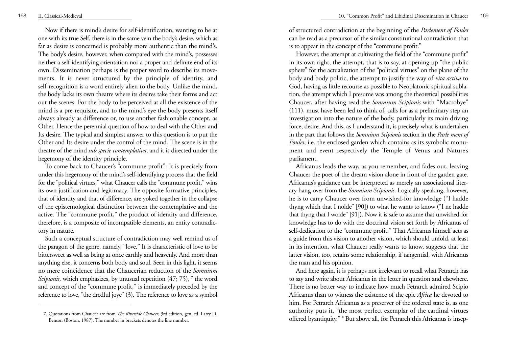Now if there is mind's desire for self-identification, wanting to be at one with its true Self, there is in the same vein the body's desire, which as far as desire is concerned is probably more authentic than the mind's. The body's desire, however, when compared with the mind's, possesses neither a self-identifying orientation nor a proper and definite end of its own. Dissemination perhaps is the proper word to describe its move ments. It is never structured by the principle of identity, and self-recognition is a word entirely alien to the body. Unlike the mind, the body lacks its own theatre where its desires take their forms and act out the scenes. For the body to be perceived at all the existence of the mind is a pre-requisite, and to the mind's eye the body presents itself always already as difference or, to use another fashionable concept, as Other. Hence the perennial question of how to deal with the Other and Its desire. The typical and simplest answer to this question is to put the Other and Its desire under the control of the mind. The scene is in the theatre of the mind *sub specie contemplativa*, and it is directed under the hegemony of the identity principle.

To come back to Chaucer's "commune profit": It is precisely from under this hegemony of the mind's self-identifying process that the field for the "political virtues," what Chaucer calls the "commune profit," wins its own justification and legitimacy. The opposite formative principles, that of identity and that of difference, are yoked together in the collapse of the epistemological distinction between the contemplative and the active. The "commune profit," the product of identity and difference, therefore, is a composite of incompatible elements, an entity contradictory in nature.

Such a conceptual structure of contradiction may well remind us of the paragon of the genre, namely, "love." It is characteristic of love to be bittersweet as well as being at once earthly and heavenly. And more than anything else, it concerns both body and soul. Seen in this light, it seems no mere coincidence that the Chaucerian reduction of the *Somnium Scipionis,* which emphasizes, by unusual repetition (47; 75), **<sup>7</sup>** the word and concept of the "commune profit," is immediately preceded by the reference to love, "the dredful joye" (3). The reference to love as a symbol

of structured contradiction at the beginning of the *Parlement of Foules* can be read as a precursor of the similar constitutional contradiction that is to appear in the concept of the "commune profit."

However, the attempt at cultivating the field of the "commune profit" in its own right, the attempt, that is to say, at opening up "the public sphere" for the actualization of the "political virtues" on the plane of the body and body politic, the attempt to justify the way of *vita activa* to God, having as little recourse as possible to Neoplatonic spiritual sublation, the attempt which I presume was among the theoretical possibilities Chaucer, after having read the *Somnium Scipionis* with "Macrobye" (111), must have been led to think of, calls for as a preliminary step an investigation into the nature of the body, particularly its main driving force, desire. And this, as I understand it, is precisely what is undertaken in the part that follows the *Somnium Scipionis* section in the *Parle ment of Foules*, i.e. the enclosed garden which contains as its symbolic monument and event respectively the Temple of Venus and Nature's parliament.

Africanus leads the way, as you remember, and fades out, leaving Chaucer the poet of the dream vision alone in front of the garden gate. Africanus's guidance can be interpreted as merely an associational literary hang-over from the *Somnium Scipionis*. Logically speaking, however, he is to carry Chaucer over from unwished-for knowledge ("I hadde thyng which that I nolde" [90]) to what he wants to know ("I ne hadde that thyng that I wolde" [91]). Now it is safe to assume that unwished-for knowledge has to do with the doctrinal vision set forth by Africanus of self-dedication to the "commune profit." That Africanus himself acts as a guide from this vision to another vision, which should unfold, at least in its intention, what Chaucer really wants to know, suggests that the latter vision, too, retains some relationship, if tangential, with Africanus the man and his opinion.

And here again, it is perhaps not irrelevant to recall what Petrarch has to say and write about Africanus in the letter in question and elsewhere. There is no better way to indicate how much Petrarch admired Scipio Africanus than to witness the existence of the epic *Africa* he devoted to him. For Petrarch Africanus as a preserver of the ordered state is, as one authority puts it, "the most perfect exemplar of the cardinal virtues offered byantiquity." **<sup>8</sup>** But above all, for Petrarch this Africanus is insep-

<sup>7.</sup> Quotations from Chaucer are from *The Riverside Chaucer*, 3rd edition, gen. ed. Larry D. Benson (Boston, 1987). The number in brackets denotes the line number.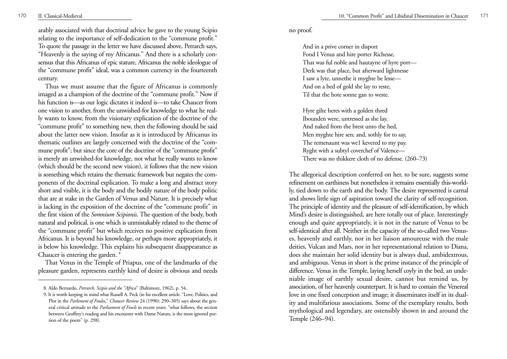arably associated with that doctrinal advice he gave to the young Scipio relating to the importance of self-dedication to the "commune profit." To quote the passage in the letter we have discussed above, Petrarch says, "Heavenly is the saying of my Africanus." And there is a scholarly consensus that this Africanus of epic stature, Africanus the noble ideologue of the "commune profit" ideal, was a common currency in the fourteenth century.

Thus we must assume that the figure of Africanus is commonly imaged as a champion of the doctrine of the "commune profit." Now if his function is—as our logic dictates it indeed is—to take Chaucer from one vision to another, from the unwished-for knowledge to what he really wants to know, from the visionary explication of the doctrine of the "commune profit" to something new, then the following should be said about the latter new vision. Insofar as it is introduced by Africanus its thematic outlines are largely concerned with the doctrine of the "commune profit"; but since the core of the doctrine of the "commune profit" is merely an unwished-for knowledge, not what he really wants to know (which should be the second new vision), it follows that the new vision is something which retains the thematic framework but negates the components of the doctrinal explication. To make a long and abstract story short and visible, it is the body and the bodily nature of the body politic that are at stake in the Garden of Venus and Nature. It is precisely what is lacking in the exposition of the doctrine of the "commune profit" in the first vision of the *Somnium Scipionis*. The question of the body, both natural and political, is one which is unmistakably related to the theme of the "commune profit" but which receives no positive explication from Africanus. It is beyond his knowledge, or perhaps more appropriately, it is below his knowledge. This explains his subsequent disappearance as Chaucer is entering the garden. **<sup>9</sup>**

That Venus in the Temple of Priapus, one of the landmarks of the <sup>p</sup>leasure garden, represents earthly kind of desire is obvious and needs no proof.

And in a prive corner in disport Fond I Venus and hire porter Richesse, That was ful noble and hautayne of hyre port— Derk was that place, but afterward lightnesse I saw a lyte, unnethe it myghte be lesse— And on a bed of gold she lay to reste, Til that the hote sonne gan to weste.

Hyre <sup>g</sup>ilte heres with a golden thred Ibounden were, untressed as she lay, And naked from the brest unto the hed, Men myghte hire sen; and, sothly for to say, The remenaunt was we1 kevered to my pay. Ryght with a subtyl coverchef of Valence— There was no thikkere cloth of no defense. (260–73)

The allegorical description conferred on her, to be sure, suggests some refinement on earthiness but nonetheless it remains essentially this-worldly, tied down to the earth and the body. The desire represented is carnal and shows little sign of aspiration toward the clarity of self-recognition. The principle of identity and the pleasure of self-identification, by which Mind's desire is distinguished, are here totally out of place. Interestingly enough and quite appropriately, it is not in the nature of Venus to be self-identical after all. Neither in the capacity of the so-called two Venuses, heavenly and earthly, nor in her liaison amoureuse with the male deities, Vulcan and Mars, nor in her representational relation to Diana, does she maintain her solid identity but is always dual, ambidextrous, and ambiguous. Venus in short is the prime instance of the principle of difference. Venus in the Temple, laying herself coyly in the bed, an undeniable image of earthly sexual desire, cannot but remind us, by association, of her heavenly counterpart. It is hard to contain the Venereal love in one fixed conception and image; it disseminates itself in its duality and multifarious associations. Some of the exemplary results, both mythological and legendary, are ostensibly shown in and around the Temple (246–94).

<sup>8.</sup> Aldo Bernardo, *Petrarch, Scipio and the "Africa*" (Baltimore, 1962), p. 54.

<sup>9.</sup> It is worth keeping in mind what Russell A. Peck (in his excellent article. "Love, Politics, and Plot in the *Parlement of Foules*," *Chaucer Review* 24 (1990): 290–305) says about the general critical attitude to the *Parliament of Fowls* in recent years: "what follows, the section between Geoffrey's reading and his encounter with Dame Nature, is the most ignored portion of the poem" (p. 298).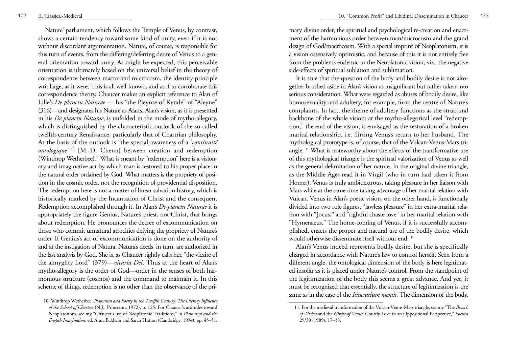Nature' parliament, which follows the Temple of Venus, by contrast, shows a certain tendency toward some kind of unity, even if it is not without discordant argumentation. Nature, of course, is responsible for this turn of events, from the differing/deferring desire of Venus to a general orientation toward unity. As might be expected, this perceivable orientation is ultimately based on the universal belief in the theory of correspondence between macro-and microcosm, the identity principle writ large, as it were. This is all well-known, and as if to corroborate this correspondence theory, Chaucer makes an explicit reference to Alan of Lille's *De planctu Naturae* — his "the Pleynte of Kynde" of "Aleyne" (316)—and designates his Nature as Alan's. Alan's vision, as it is presented in his *De planctu Naturae*, is unfolded in the mode of mytho-allegory, which is distinguished by the characteristic outlook of the so-called twelfth-century Renaissance, particularly that of Chartrian philosophy. At the basis of the outlook is "the special awareness of a '*continuité ontologique'* **<sup>10</sup>** [M.-D. Chenu] between creation and redemption (Winthrop Wetherbee)." What is meant by "redemption" here is a visionary and imaginative act by which man is restored to his proper place in the natural order ordained by God. What matters is the propriety of position in the cosmic order, not the recognition of providential disposition. The redemption here is not a matter of linear salvation history, which is historically marked by the Incantation of Christ and the consequent Redemption accomplished through it. In Alan's *De planctu Naturae* it is appropriately the figure Genius, Nature's priest, not Christ, that brings about redemption. He pronounces the decree of excommunication on those who commit unnatural atrocities defying the propriety of Nature's order. If Genius's act of excommunication is done on the authority of and at the instigation of Natura, Natura's deeds, in turn, are authorized in the last analysis by God. She is, as Chaucer rightly calls her, "the vicaire of the almyghty Lord" (379)—*vicaria Dei*. Thus at the heart of Alan's mytho-allegory is the order of God—order in the senses of both harmonious structure (cosmos) and the command to maintain it. In this scheme of things, redemption is no other than the observance of the primary divine order, the spiritual and psychological re-creation and enactment of the harmonious order between man/microcosm and the grand design of God/macrocosm. With a special imprint of Neoplatonism, it is a vision ostensively optimistic, and because of this it is not entirely free from the problems endemic to the Neoplatonic vision, viz., the negative side-effects of spiritual sublation and sublimation.

It is true that the question of the body and bodily desire is not altogether brushed aside in Alan's vision as insignificant but rather taken into serious consideration. What were regarded as abuses of bodily desire, like homosexuality and adultery, for example, form the centre of Nature's complaints. In fact, the theme of adultery functions as the structural backbone of the whole vision: at the mytho-allegorical level "redemption," the end of the vision, is envisaged as the restoration of a broken marital relationship, i.e. flirting Venus's return to her husband. The mythological prototype is, of course, that of the Vulcan-Venus-Mars triangle. **<sup>11</sup>** What is noteworthy about the effects of the transformative use of this mythological triangle is the spiritual valorization of Venus as well as the general delimitation of her nature. In the original divine triangle, as the Middle Ages read it in Virgil (who in turn had taken it from Homer), Venus is truly ambidextrous, taking pleasure in her liaison with Mars while at the same time taking advantage of her marital relation with Vulcan. Venus in Alan's poetic vision, on the other hand, is functionally divided into two role figures, "lawless pleasure" in her extra-marital relation with "Jocus," and "rightful chaste love" in her marital relation with "Hymenaeus." The home-coming of Venus, if it is successfully accomplished, enacts the proper and natural use of the bodily desire, which would otherwise disseminate itself without end. **<sup>11</sup>**

Alan's Venus indeed represents bodily desire, but she is specifically charged in accordance with Nature's law to control herself. Seen from a different angle, the ontological dimension of the body is here legitimated insofar as it is placed under Nature's control. From the standpoint of the legitimization of the body this seems a great advance. And yet, it must be recognized that essentially, the structure of legitimization is the same as in the case of the *Itinerarium mentis*. The dimension of the body,

<sup>10.</sup> Winthrop Wetherbee, *Platonism and Poetry in the Twelfth Century: The Literary Influence of the School of Chartres* (N.J.: Princeton, 1972), p. 125. For Chaucer's attitudes toward Neoplatonism, see my "Chaucer's use of Neoplatonic Traditions," in *Platonism and the English Imagination*, ed. Anna Baldwin and Sarah Hutton (Cambridge, 1994), pp. 45–51.

<sup>11.</sup> For the medieval transformation of the Vulcan-Venus-Mars triangle, see my "The *Brooch of Thebes* and the *Girdle of Venus*: Courtly Love in an Oppositional Perspective," *Poetica* 29/30 (1989): 17–38.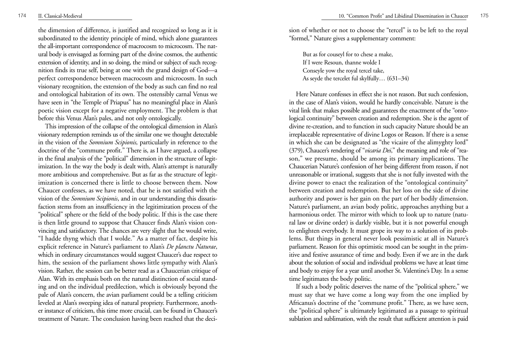the dimension of difference, is justified and recognized so long as it is subordinated to the identity principle of mind, which alone guarantees the all-important correspondence of macrocosm to microcosm. The natural body is envisaged as forming part of the divine cosmos, the authentic extension of identity, and in so doing, the mind or subject of such recognition finds its true self, being at one with the grand design of God—a perfect correspondence between macrocosm and microcosm. In such visionary recognition, the extension of the body as such can find no real and ontological habitation of its own. The ostensibly carnal Venus we have seen in "the Temple of Priapus" has no meaningful place in Alan's poetic vision except for a negative employment. The problem is that before this Venus Alan's pales, and not only ontologically.

This impression of the collapse of the ontological dimension in Alan's visionary redemption reminds us of the similar one we thought detectable in the vision of the *Somnium Scipionis,* particularly in reference to the doctrine of the "commune profit." There is, as I have argued, a collapse in the final analysis of the "political" dimension in the structure of legitimization. In the way the body is dealt with, Alan's attempt is naturally more ambitious and comprehensive. But as far as the structure of legitimization is concerned there is little to choose between them. Now Chaucer confesses, as we have noted, that he is not satisfied with the vision of the *Somnium Scipionis*, and in our understanding this dissatisfaction stems from an insufficiency in the legitimization process of the "political" sphere or the field of the body politic. If this is the case there is then little ground to suppose that Chaucer finds Alan's vision convincing and satisfactory. The chances are very slight that he would write, "I hadde thyng which that I wolde." As a matter of fact, despite his explicit reference in Nature's parliament to Alan's *De planctu Naturae*, which in ordinary circumstances would suggest Chaucer's due respect to him, the session of the parliament shows little sympathy with Alan's vision. Rather, the session can be better read as a Chaucerian critique of Alan. With its emphasis both on the natural distinction of social standing and on the individual predilection, which is obviously beyond the pale of Alan's concern, the avian parliament could be a telling criticism leveled at Alan's sweeping idea of natural propriety. Furthermore, another instance of criticism, this time more crucial, can be found in Chaucer's treatment of Nature. The conclusion having been reached that the decision of whether or not to choose the "tercel" is to be left to the royal "formel," Nature gives a supplementary comment:

But as for couseyl for to chese a make, If I were Resoun, thanne wolde I Conseyle yow the royal tercel take, As seyde the tercelet ful skylfully… (631–34)

Here Nature confesses in effect she is not reason. But such confession, in the case of Alan's vision, would he hardly conceivable. Nature is the vital link that makes possible and guarantees the enactment of the "ontological continuity" between creation and redemption. She is the agent of divine re-creation, and to function in such capacity Nature should be an irreplaceable representative of divine Logos or Reason. If there is a sense in which she can be designated as "the vicaire of the alimyghty lord" (379), Chaucer's rendering of "*vicaria Dei*," the meaning and role of "reason," we presume, should be among its primary implications. The Chaucerian Nature's confession of her being different from reason, if not unreasonable or irrational, suggests that she is not fully invested with the divine power to enact the realization of the "ontological continuity" between creation and redemption. But her loss on the side of divine authority and power is her gain on the part of her bodily dimension. Nature's parliament, an avian body politic, approaches anything but a harmonious order. The mirror with which to look up to nature (natural law or divine order) is darkly visible, but it is not powerful enough to enlighten everybody. It must grope its way to a solution of its problems. But things in general never look pessimistic at all in Nature's parliament. Reason for this optimistic mood can be sought in the primitive and festive assurance of time and body. Even if we are in the dark about the solution of social and individual problems we have at least time and body to enjoy for a year until another St. Valentine's Day. In a sense time legitimates the body politic.

If such a body politic deserves the name of the "political sphere," we must say that we have come a long way from the one implied by Africanus's doctrine of the "commune profit." There, as we have seen, the "political sphere" is ultimately legitimated as a passage to spiritual sublation and sublimation, with the result that sufficient attention is paid